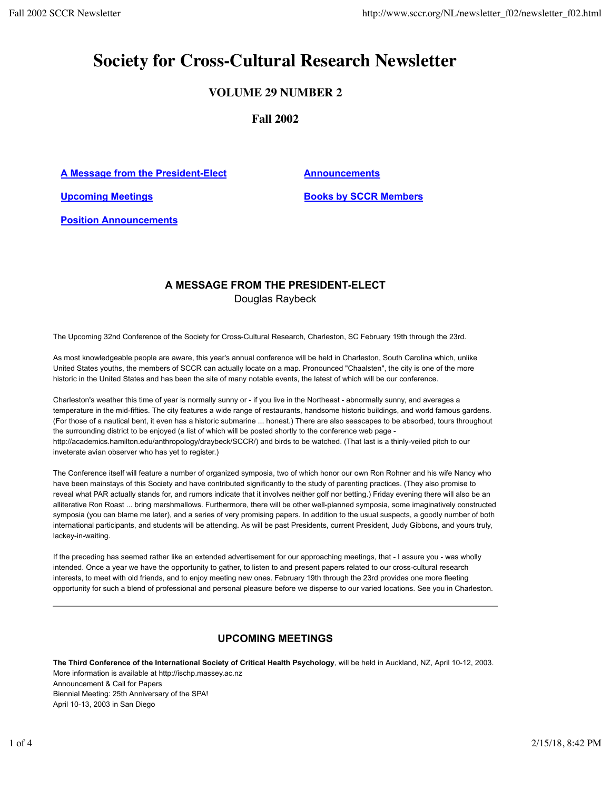# **Society for Cross-Cultural Research Newsletter**

# **VOLUME 29 NUMBER 2**

**Fall 2002**

A Message from the President-Elect **Announcements** 

**Upcoming Meetings Books by SCCR Members** 

**Position Announcements**

## **A MESSAGE FROM THE PRESIDENT-ELECT** Douglas Raybeck

The Upcoming 32nd Conference of the Society for Cross-Cultural Research, Charleston, SC February 19th through the 23rd.

As most knowledgeable people are aware, this year's annual conference will be held in Charleston, South Carolina which, unlike United States youths, the members of SCCR can actually locate on a map. Pronounced "Chaalsten", the city is one of the more historic in the United States and has been the site of many notable events, the latest of which will be our conference.

Charleston's weather this time of year is normally sunny or - if you live in the Northeast - abnormally sunny, and averages a temperature in the mid-fifties. The city features a wide range of restaurants, handsome historic buildings, and world famous gardens. (For those of a nautical bent, it even has a historic submarine ... honest.) There are also seascapes to be absorbed, tours throughout the surrounding district to be enjoyed (a list of which will be posted shortly to the conference web page http://academics.hamilton.edu/anthropology/draybeck/SCCR/) and birds to be watched. (That last is a thinly-veiled pitch to our inveterate avian observer who has yet to register.)

The Conference itself will feature a number of organized symposia, two of which honor our own Ron Rohner and his wife Nancy who have been mainstays of this Society and have contributed significantly to the study of parenting practices. (They also promise to reveal what PAR actually stands for, and rumors indicate that it involves neither golf nor betting.) Friday evening there will also be an alliterative Ron Roast ... bring marshmallows. Furthermore, there will be other well-planned symposia, some imaginatively constructed symposia (you can blame me later), and a series of very promising papers. In addition to the usual suspects, a goodly number of both international participants, and students will be attending. As will be past Presidents, current President, Judy Gibbons, and yours truly, lackey-in-waiting.

If the preceding has seemed rather like an extended advertisement for our approaching meetings, that - I assure you - was wholly intended. Once a year we have the opportunity to gather, to listen to and present papers related to our cross-cultural research interests, to meet with old friends, and to enjoy meeting new ones. February 19th through the 23rd provides one more fleeting opportunity for such a blend of professional and personal pleasure before we disperse to our varied locations. See you in Charleston.

# **UPCOMING MEETINGS**

**The Third Conference of the International Society of Critical Health Psychology**, will be held in Auckland, NZ, April 10-12, 2003. More information is available at http://ischp.massey.ac.nz Announcement & Call for Papers Biennial Meeting: 25th Anniversary of the SPA! April 10-13, 2003 in San Diego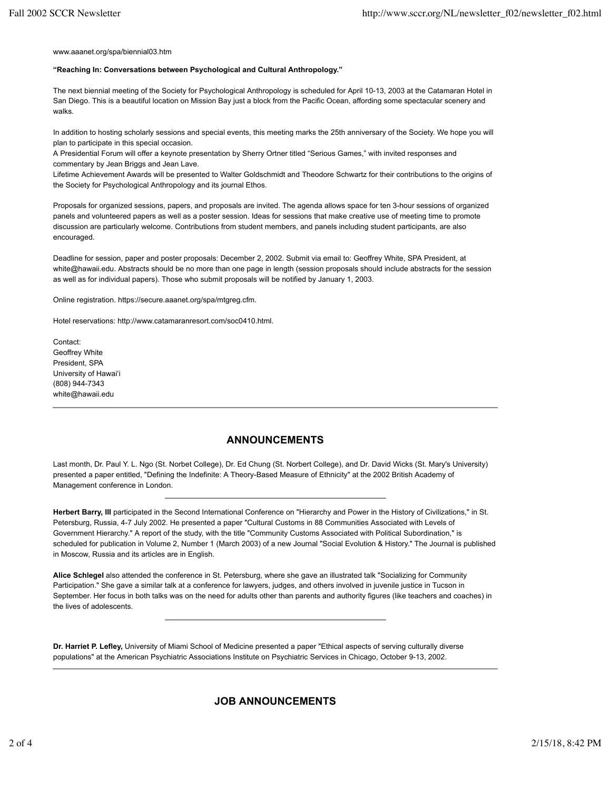www.aaanet.org/spa/biennial03.htm

#### **"Reaching In: Conversations between Psychological and Cultural Anthropology."**

The next biennial meeting of the Society for Psychological Anthropology is scheduled for April 10-13, 2003 at the Catamaran Hotel in San Diego. This is a beautiful location on Mission Bay just a block from the Pacific Ocean, affording some spectacular scenery and walks.

In addition to hosting scholarly sessions and special events, this meeting marks the 25th anniversary of the Society. We hope you will plan to participate in this special occasion.

A Presidential Forum will offer a keynote presentation by Sherry Ortner titled "Serious Games," with invited responses and commentary by Jean Briggs and Jean Lave.

Lifetime Achievement Awards will be presented to Walter Goldschmidt and Theodore Schwartz for their contributions to the origins of the Society for Psychological Anthropology and its journal Ethos.

Proposals for organized sessions, papers, and proposals are invited. The agenda allows space for ten 3-hour sessions of organized panels and volunteered papers as well as a poster session. Ideas for sessions that make creative use of meeting time to promote discussion are particularly welcome. Contributions from student members, and panels including student participants, are also encouraged.

Deadline for session, paper and poster proposals: December 2, 2002. Submit via email to: Geoffrey White, SPA President, at white@hawaii.edu. Abstracts should be no more than one page in length (session proposals should include abstracts for the session as well as for individual papers). Those who submit proposals will be notified by January 1, 2003.

Online registration. https://secure.aaanet.org/spa/mtgreg.cfm.

Hotel reservations: http://www.catamaranresort.com/soc0410.html.

Contact: Geoffrey White President, SPA University of Hawai'i (808) 944-7343 white@hawaii.edu

### **ANNOUNCEMENTS**

Last month, Dr. Paul Y. L. Ngo (St. Norbet College), Dr. Ed Chung (St. Norbert College), and Dr. David Wicks (St. Mary's University) presented a paper entitled, "Defining the Indefinite: A Theory-Based Measure of Ethnicity" at the 2002 British Academy of Management conference in London.

Herbert Barry, III participated in the Second International Conference on "Hierarchy and Power in the History of Civilizations," in St. Petersburg, Russia, 4-7 July 2002. He presented a paper "Cultural Customs in 88 Communities Associated with Levels of Government Hierarchy." A report of the study, with the title "Community Customs Associated with Political Subordination," is scheduled for publication in Volume 2, Number 1 (March 2003) of a new Journal "Social Evolution & History." The Journal is published in Moscow, Russia and its articles are in English.

**Alice Schlegel** also attended the conference in St. Petersburg, where she gave an illustrated talk "Socializing for Community Participation." She gave a similar talk at a conference for lawyers, judges, and others involved in juvenile justice in Tucson in September. Her focus in both talks was on the need for adults other than parents and authority figures (like teachers and coaches) in the lives of adolescents.

**Dr. Harriet P. Lefley,** University of Miami School of Medicine presented a paper "Ethical aspects of serving culturally diverse populations" at the American Psychiatric Associations Institute on Psychiatric Services in Chicago, October 9-13, 2002.

### **JOB ANNOUNCEMENTS**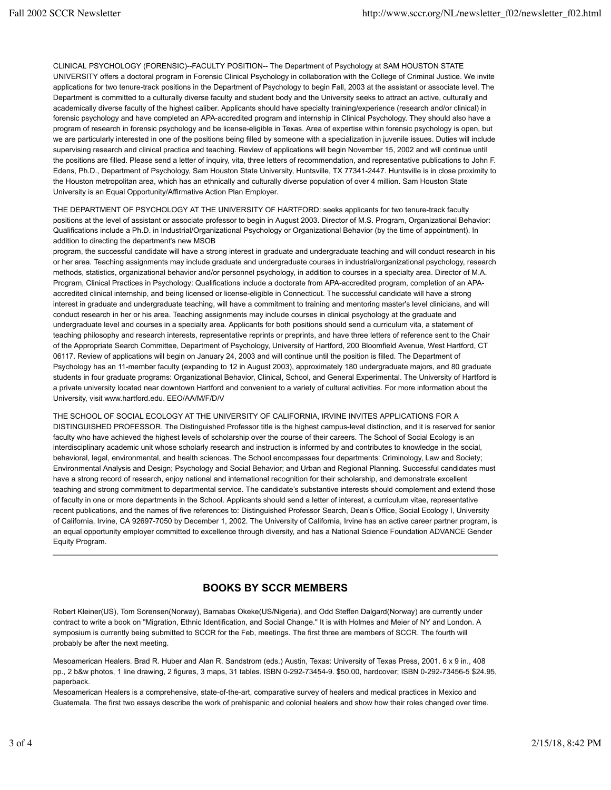CLINICAL PSYCHOLOGY (FORENSIC)--FACULTY POSITION-- The Department of Psychology at SAM HOUSTON STATE UNIVERSITY offers a doctoral program in Forensic Clinical Psychology in collaboration with the College of Criminal Justice. We invite applications for two tenure-track positions in the Department of Psychology to begin Fall, 2003 at the assistant or associate level. The Department is committed to a culturally diverse faculty and student body and the University seeks to attract an active, culturally and academically diverse faculty of the highest caliber. Applicants should have specialty training/experience (research and/or clinical) in forensic psychology and have completed an APA-accredited program and internship in Clinical Psychology. They should also have a program of research in forensic psychology and be license-eligible in Texas. Area of expertise within forensic psychology is open, but we are particularly interested in one of the positions being filled by someone with a specialization in juvenile issues. Duties will include supervising research and clinical practica and teaching. Review of applications will begin November 15, 2002 and will continue until the positions are filled. Please send a letter of inquiry, vita, three letters of recommendation, and representative publications to John F. Edens, Ph.D., Department of Psychology, Sam Houston State University, Huntsville, TX 77341-2447. Huntsville is in close proximity to the Houston metropolitan area, which has an ethnically and culturally diverse population of over 4 million. Sam Houston State University is an Equal Opportunity/Affirmative Action Plan Employer.

THE DEPARTMENT OF PSYCHOLOGY AT THE UNIVERSITY OF HARTFORD: seeks applicants for two tenure-track faculty positions at the level of assistant or associate professor to begin in August 2003. Director of M.S. Program, Organizational Behavior: Qualifications include a Ph.D. in Industrial/Organizational Psychology or Organizational Behavior (by the time of appointment). In addition to directing the department's new MSOB

program, the successful candidate will have a strong interest in graduate and undergraduate teaching and will conduct research in his or her area. Teaching assignments may include graduate and undergraduate courses in industrial/organizational psychology, research methods, statistics, organizational behavior and/or personnel psychology, in addition to courses in a specialty area. Director of M.A. Program, Clinical Practices in Psychology: Qualifications include a doctorate from APA-accredited program, completion of an APAaccredited clinical internship, and being licensed or license-eligible in Connecticut. The successful candidate will have a strong interest in graduate and undergraduate teaching, will have a commitment to training and mentoring master's level clinicians, and will conduct research in her or his area. Teaching assignments may include courses in clinical psychology at the graduate and undergraduate level and courses in a specialty area. Applicants for both positions should send a curriculum vita, a statement of teaching philosophy and research interests, representative reprints or preprints, and have three letters of reference sent to the Chair of the Appropriate Search Committee, Department of Psychology, University of Hartford, 200 Bloomfield Avenue, West Hartford, CT 06117. Review of applications will begin on January 24, 2003 and will continue until the position is filled. The Department of Psychology has an 11-member faculty (expanding to 12 in August 2003), approximately 180 undergraduate majors, and 80 graduate students in four graduate programs: Organizational Behavior, Clinical, School, and General Experimental. The University of Hartford is a private university located near downtown Hartford and convenient to a variety of cultural activities. For more information about the University, visit www.hartford.edu. EEO/AA/M/F/D/V

THE SCHOOL OF SOCIAL ECOLOGY AT THE UNIVERSITY OF CALIFORNIA, IRVINE INVITES APPLICATIONS FOR A DISTINGUISHED PROFESSOR. The Distinguished Professor title is the highest campus-level distinction, and it is reserved for senior faculty who have achieved the highest levels of scholarship over the course of their careers. The School of Social Ecology is an interdisciplinary academic unit whose scholarly research and instruction is informed by and contributes to knowledge in the social, behavioral, legal, environmental, and health sciences. The School encompasses four departments: Criminology, Law and Society; Environmental Analysis and Design; Psychology and Social Behavior; and Urban and Regional Planning. Successful candidates must have a strong record of research, enjoy national and international recognition for their scholarship, and demonstrate excellent teaching and strong commitment to departmental service. The candidate's substantive interests should complement and extend those of faculty in one or more departments in the School. Applicants should send a letter of interest, a curriculum vitae, representative recent publications, and the names of five references to: Distinguished Professor Search, Dean's Office, Social Ecology I, University of California, Irvine, CA 92697-7050 by December 1, 2002. The University of California, Irvine has an active career partner program, is an equal opportunity employer committed to excellence through diversity, and has a National Science Foundation ADVANCE Gender Equity Program.

### **BOOKS BY SCCR MEMBERS**

Robert Kleiner(US), Tom Sorensen(Norway), Barnabas Okeke(US/Nigeria), and Odd Steffen Dalgard(Norway) are currently under contract to write a book on "Migration, Ethnic Identification, and Social Change." It is with Holmes and Meier of NY and London. A symposium is currently being submitted to SCCR for the Feb, meetings. The first three are members of SCCR. The fourth will probably be after the next meeting.

Mesoamerican Healers. Brad R. Huber and Alan R. Sandstrom (eds.) Austin, Texas: University of Texas Press, 2001. 6 x 9 in., 408 pp., 2 b&w photos, 1 line drawing, 2 figures, 3 maps, 31 tables. ISBN 0-292-73454-9. \$50.00, hardcover; ISBN 0-292-73456-5 \$24.95, paperback.

Mesoamerican Healers is a comprehensive, state-of-the-art, comparative survey of healers and medical practices in Mexico and Guatemala. The first two essays describe the work of prehispanic and colonial healers and show how their roles changed over time.